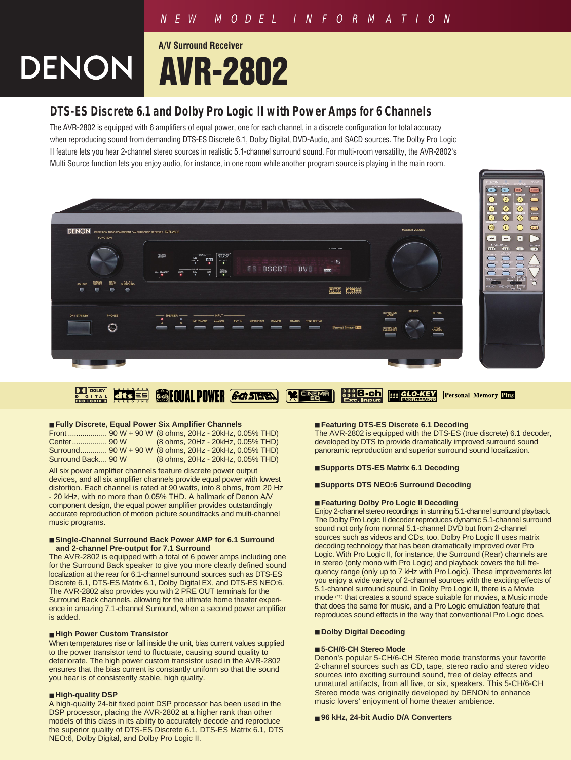## NEW MODEL INFORMATION

# **A/V Surround Receiver DENON AVR-2802**

# **DTS-ES Discrete 6.1 and Dolby Pro Logic II with Power Amps for 6 Channels**

The AVR-2802 is equipped with 6 amplifiers of equal power, one for each channel, in a discrete configuration for total accuracy when reproducing sound from demanding DTS-ES Discrete 6.1, Dolby Digital, DVD-Audio, and SACD sources. The Dolby Pro Logic II feature lets you hear 2-channel stereo sources in realistic 5.1-channel surround sound. For multi-room versatility, the AVR-2802's Multi Source function lets you enjoy audio, for instance, in one room while another program source is playing in the main room.



#### $\prod_{\substack{B \\ B}} \frac{\log |B|}{\log |B|}$ *<b>GenEOUAL POWER <i>Gen STERE* GLO-KEY  $dfs =$ **X EINEN** ,,,,6-ch E **Personal Memory Plus**

#### ■ **Fully Discrete, Equal Power Six Amplifier Channels**

|                    | (8 ohms, 20Hz - 20kHz, 0.05% THD)                      |
|--------------------|--------------------------------------------------------|
|                    | Surround 90 W + 90 W (8 ohms, 20Hz - 20kHz, 0.05% THD) |
| Surround Back 90 W | (8 ohms, 20Hz - 20kHz, 0.05% THD)                      |

All six power amplifier channels feature discrete power output devices, and all six amplifier channels provide equal power with lowest distortion. Each channel is rated at 90 watts, into 8 ohms, from 20 Hz - 20 kHz, with no more than 0.05% THD. A hallmark of Denon A/V component design, the equal power amplifier provides outstandingly accurate reproduction of motion picture soundtracks and multi-channel music programs.

#### ■ Single-Channel Surround Back Power AMP for 6.1 Surround **and 2-channel Pre-output for 7.1 Surround**

The AVR-2802 is equipped with a total of 6 power amps including one for the Surround Back speaker to give you more clearly defined sound localization at the rear for 6.1-channel surround sources such as DTS-ES Discrete 6.1, DTS-ES Matrix 6.1, Dolby Digital EX, and DTS-ES NEO:6. The AVR-2802 also provides you with 2 PRE OUT terminals for the Surround Back channels, allowing for the ultimate home theater experience in amazing 7.1-channel Surround, when a second power amplifier is added.

#### ■ **High Power Custom Transistor**

When temperatures rise or fall inside the unit, bias current values supplied to the power transistor tend to fluctuate, causing sound quality to deteriorate. The high power custom transistor used in the AVR-2802 ensures that the bias current is constantly uniform so that the sound you hear is of consistently stable, high quality.

### ■ **High-quality DSP**

A high-quality 24-bit fixed point DSP processor has been used in the DSP processor, placing the AVR-2802 at a higher rank than other models of this class in its ability to accurately decode and reproduce the superior quality of DTS-ES Discrete 6.1, DTS-ES Matrix 6.1, DTS NEO:6, Dolby Digital, and Dolby Pro Logic II.

#### ■ **Featuring DTS-ES Discrete 6.1 Decoding**

The AVR-2802 is equipped with the DTS-ES (true discrete) 6.1 decoder, developed by DTS to provide dramatically improved surround sound panoramic reproduction and superior surround sound localization.

#### ■ **Supports DTS-ES Matrix 6.1 Decoding**

#### ■ **Supports DTS NEO:6 Surround Decoding**

#### ■ **Featuring Dolby Pro Logic II Decoding**

Enjoy 2-channel stereo recordings in stunning 5.1-channel surround playback. The Dolby Pro Logic II decoder reproduces dynamic 5.1-channel surround sound not only from normal 5.1-channel DVD but from 2-channel sources such as videos and CDs, too. Dolby Pro Logic II uses matrix decoding technology that has been dramatically improved over Pro Logic. With Pro Logic II, for instance, the Surround (Rear) channels are in stereo (only mono with Pro Logic) and playback covers the full frequency range (only up to 7 kHz with Pro Logic). These improvements let you enjoy a wide variety of 2-channel sources with the exciting effects of 5.1-channel surround sound. In Dolby Pro Logic II, there is a Movie mode (\*1) that creates a sound space suitable for movies, a Music mode that does the same for music, and a Pro Logic emulation feature that reproduces sound effects in the way that conventional Pro Logic does.

#### ■ **Dolby Digital Decoding**

#### ■ **5-CH/6-CH Stereo Mode**

Denon's popular 5-CH/6-CH Stereo mode transforms your favorite 2-channel sources such as CD, tape, stereo radio and stereo video sources into exciting surround sound, free of delay effects and unnatural artifacts, from all five, or six, speakers. This 5-CH/6-CH Stereo mode was originally developed by DENON to enhance music lovers' enjoyment of home theater ambience.

#### ■ 96 kHz, 24-bit Audio D/A Converters